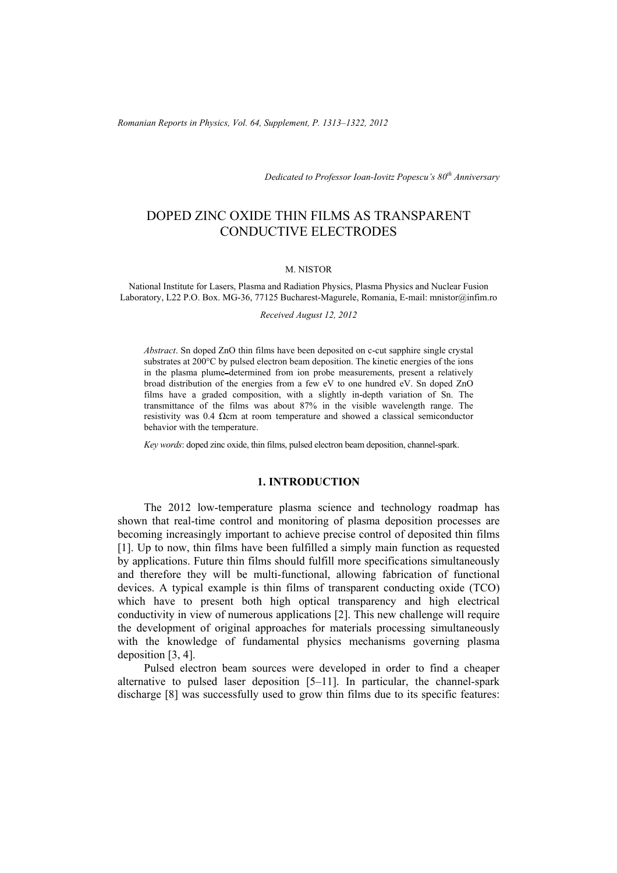*Romanian Reports in Physics, Vol. 64, Supplement, P. 1313–1322, 2012*

*Dedicated to Professor Ioan-Iovitz Popescu's 80th Anniversary*

# DOPED ZINC OXIDE THIN FILMS AS TRANSPARENT CONDUCTIVE ELECTRODES

#### M. NISTOR

National Institute for Lasers, Plasma and Radiation Physics, Plasma Physics and Nuclear Fusion Laboratory, L22 P.O. Box. MG-36, 77125 Bucharest-Magurele, Romania, E-mail: mnistor@infim.ro

*Received August 12, 2012* 

*Abstract*. Sn doped ZnO thin films have been deposited on c-cut sapphire single crystal substrates at 200°C by pulsed electron beam deposition. The kinetic energies of the ions in the plasma plume determined from ion probe measurements, present a relatively broad distribution of the energies from a few eV to one hundred eV. Sn doped ZnO films have a graded composition, with a slightly in-depth variation of Sn. The transmittance of the films was about 87% in the visible wavelength range. The resistivity was 0.4 Ωcm at room temperature and showed a classical semiconductor behavior with the temperature.

*Key words*: doped zinc oxide, thin films, pulsed electron beam deposition, channel-spark.

## **1. INTRODUCTION**

The 2012 low-temperature plasma science and technology roadmap has shown that real-time control and monitoring of plasma deposition processes are becoming increasingly important to achieve precise control of deposited thin films [1]. Up to now, thin films have been fulfilled a simply main function as requested by applications. Future thin films should fulfill more specifications simultaneously and therefore they will be multi-functional, allowing fabrication of functional devices. A typical example is thin films of transparent conducting oxide (TCO) which have to present both high optical transparency and high electrical conductivity in view of numerous applications [2]. This new challenge will require the development of original approaches for materials processing simultaneously with the knowledge of fundamental physics mechanisms governing plasma deposition [3, 4].

Pulsed electron beam sources were developed in order to find a cheaper alternative to pulsed laser deposition [5–11]. In particular, the channel-spark discharge [8] was successfully used to grow thin films due to its specific features: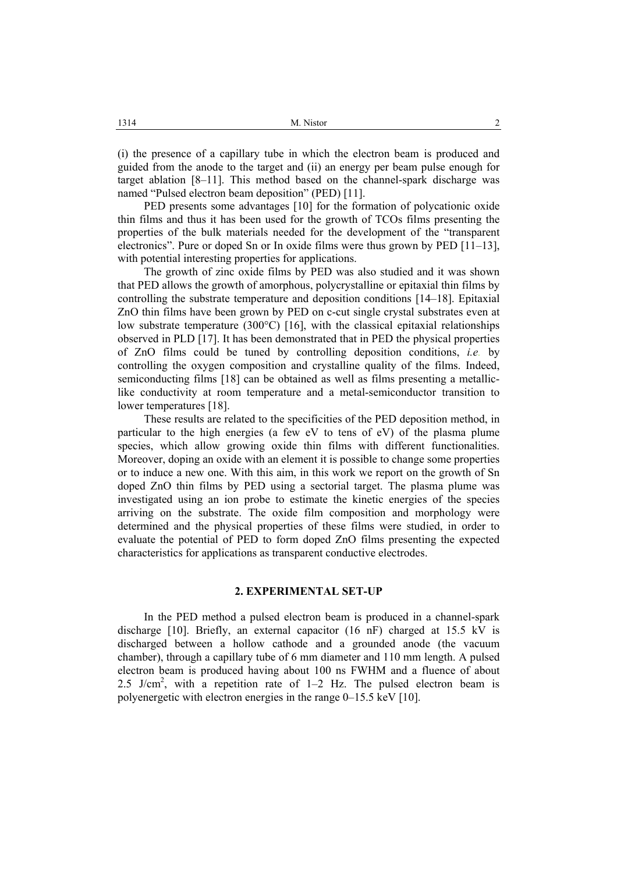(i) the presence of a capillary tube in which the electron beam is produced and guided from the anode to the target and (ii) an energy per beam pulse enough for target ablation [8–11]. This method based on the channel-spark discharge was named "Pulsed electron beam deposition" (PED) [11].

PED presents some advantages [10] for the formation of polycationic oxide thin films and thus it has been used for the growth of TCOs films presenting the properties of the bulk materials needed for the development of the "transparent electronics". Pure or doped Sn or In oxide films were thus grown by PED [11–13], with potential interesting properties for applications.

The growth of zinc oxide films by PED was also studied and it was shown that PED allows the growth of amorphous, polycrystalline or epitaxial thin films by controlling the substrate temperature and deposition conditions [14–18]. Epitaxial ZnO thin films have been grown by PED on c-cut single crystal substrates even at low substrate temperature (300 $^{\circ}$ C) [16], with the classical epitaxial relationships observed in PLD [17]. It has been demonstrated that in PED the physical properties of ZnO films could be tuned by controlling deposition conditions, *i.e.* by controlling the oxygen composition and crystalline quality of the films. Indeed, semiconducting films [18] can be obtained as well as films presenting a metalliclike conductivity at room temperature and a metal-semiconductor transition to lower temperatures [18].

These results are related to the specificities of the PED deposition method, in particular to the high energies (a few eV to tens of eV) of the plasma plume species, which allow growing oxide thin films with different functionalities. Moreover, doping an oxide with an element it is possible to change some properties or to induce a new one. With this aim, in this work we report on the growth of Sn doped ZnO thin films by PED using a sectorial target. The plasma plume was investigated using an ion probe to estimate the kinetic energies of the species arriving on the substrate. The oxide film composition and morphology were determined and the physical properties of these films were studied, in order to evaluate the potential of PED to form doped ZnO films presenting the expected characteristics for applications as transparent conductive electrodes.

### **2. EXPERIMENTAL SET-UP**

In the PED method a pulsed electron beam is produced in a channel-spark discharge [10]. Briefly, an external capacitor (16 nF) charged at 15.5 kV is discharged between a hollow cathode and a grounded anode (the vacuum chamber), through a capillary tube of 6 mm diameter and 110 mm length. A pulsed electron beam is produced having about 100 ns FWHM and a fluence of about 2.5 J/cm<sup>2</sup>, with a repetition rate of  $1-2$  Hz. The pulsed electron beam is polyenergetic with electron energies in the range 0–15.5 keV [10].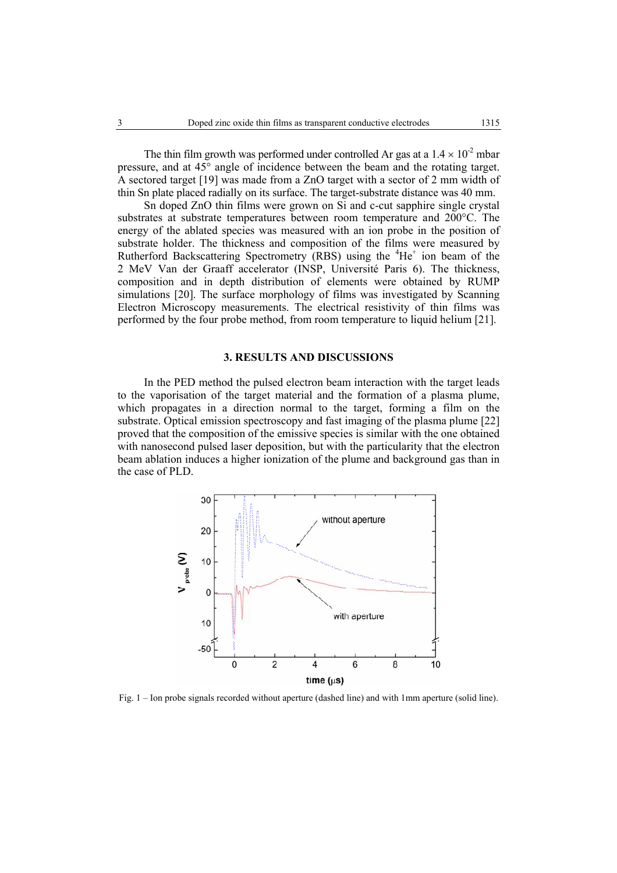The thin film growth was performed under controlled Ar gas at a  $1.4 \times 10^{-2}$  mbar pressure, and at 45° angle of incidence between the beam and the rotating target. A sectored target [19] was made from a ZnO target with a sector of 2 mm width of thin Sn plate placed radially on its surface. The target-substrate distance was 40 mm.

Sn doped ZnO thin films were grown on Si and c-cut sapphire single crystal substrates at substrate temperatures between room temperature and 200°C. The energy of the ablated species was measured with an ion probe in the position of substrate holder. The thickness and composition of the films were measured by Rutherford Backscattering Spectrometry  $(RBS)$  using the  ${}^{4}He^{+}$  ion beam of the 2 MeV Van der Graaff accelerator (INSP, Université Paris 6). The thickness, composition and in depth distribution of elements were obtained by RUMP simulations [20]. The surface morphology of films was investigated by Scanning Electron Microscopy measurements. The electrical resistivity of thin films was performed by the four probe method, from room temperature to liquid helium [21].

#### **3. RESULTS AND DISCUSSIONS**

In the PED method the pulsed electron beam interaction with the target leads to the vaporisation of the target material and the formation of a plasma plume, which propagates in a direction normal to the target, forming a film on the substrate. Optical emission spectroscopy and fast imaging of the plasma plume [22] proved that the composition of the emissive species is similar with the one obtained with nanosecond pulsed laser deposition, but with the particularity that the electron beam ablation induces a higher ionization of the plume and background gas than in the case of PLD.



Fig. 1 – Ion probe signals recorded without aperture (dashed line) and with 1mm aperture (solid line).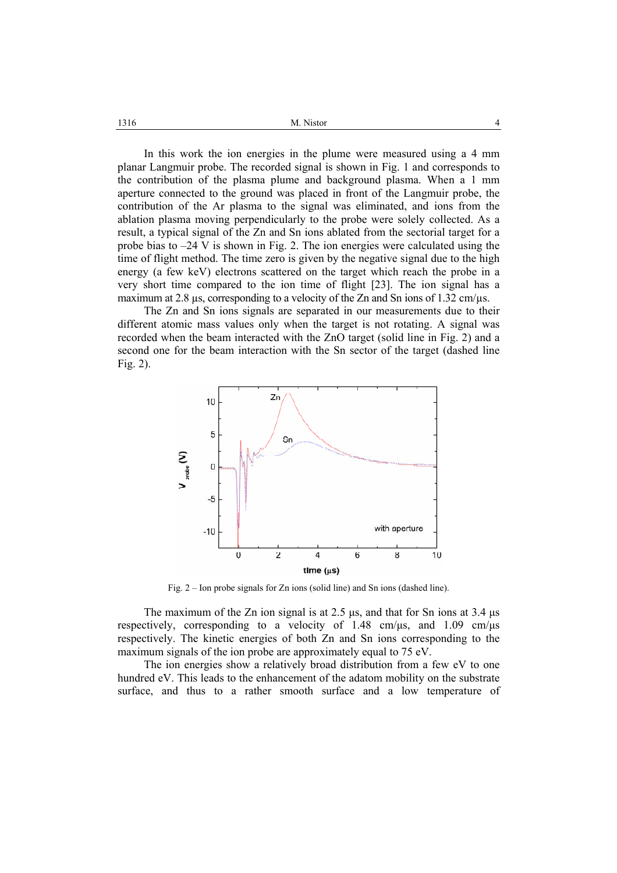| 1316 | M. Nistor |
|------|-----------|
|------|-----------|

In this work the ion energies in the plume were measured using a 4 mm planar Langmuir probe. The recorded signal is shown in Fig. 1 and corresponds to the contribution of the plasma plume and background plasma. When a 1 mm aperture connected to the ground was placed in front of the Langmuir probe, the contribution of the Ar plasma to the signal was eliminated, and ions from the ablation plasma moving perpendicularly to the probe were solely collected. As a result, a typical signal of the Zn and Sn ions ablated from the sectorial target for a probe bias to –24 V is shown in Fig. 2. The ion energies were calculated using the time of flight method. The time zero is given by the negative signal due to the high energy (a few keV) electrons scattered on the target which reach the probe in a very short time compared to the ion time of flight [23]. The ion signal has a maximum at 2.8  $\mu$ s, corresponding to a velocity of the Zn and Sn ions of 1.32 cm/ $\mu$ s.

The Zn and Sn ions signals are separated in our measurements due to their different atomic mass values only when the target is not rotating. A signal was recorded when the beam interacted with the ZnO target (solid line in Fig. 2) and a second one for the beam interaction with the Sn sector of the target (dashed line Fig. 2).



Fig. 2 – Ion probe signals for Zn ions (solid line) and Sn ions (dashed line).

The maximum of the Zn ion signal is at 2.5  $\mu$ s, and that for Sn ions at 3.4  $\mu$ s respectively, corresponding to a velocity of  $1.48 \text{ cm}/\text{us}$ , and  $1.09 \text{ cm}/\text{us}$ respectively. The kinetic energies of both Zn and Sn ions corresponding to the maximum signals of the ion probe are approximately equal to 75 eV.

The ion energies show a relatively broad distribution from a few eV to one hundred eV. This leads to the enhancement of the adatom mobility on the substrate surface, and thus to a rather smooth surface and a low temperature of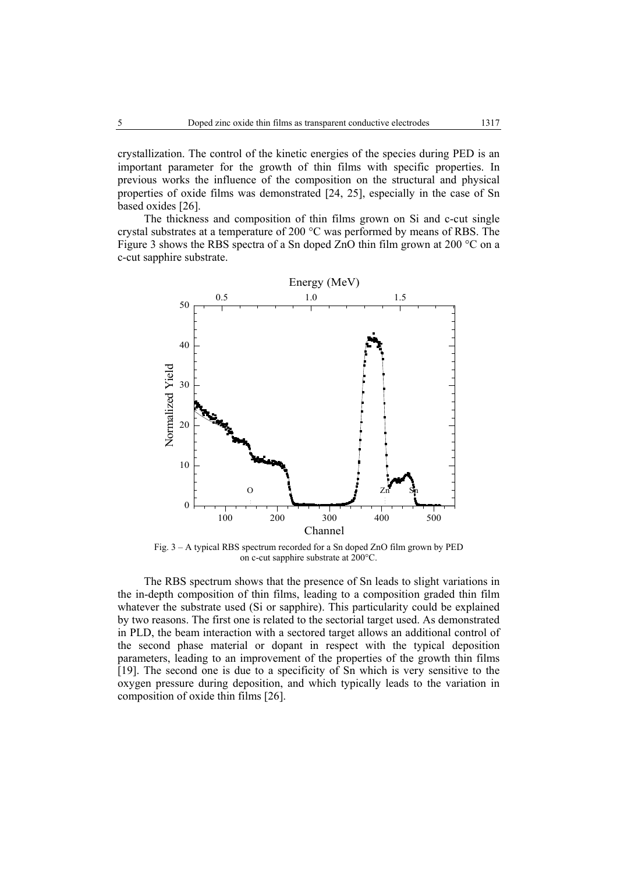crystallization. The control of the kinetic energies of the species during PED is an important parameter for the growth of thin films with specific properties. In previous works the influence of the composition on the structural and physical properties of oxide films was demonstrated [24, 25], especially in the case of Sn based oxides [26].

The thickness and composition of thin films grown on Si and c-cut single crystal substrates at a temperature of 200 °C was performed by means of RBS. The Figure 3 shows the RBS spectra of a Sn doped ZnO thin film grown at 200 °C on a c-cut sapphire substrate.



Fig. 3 – A typical RBS spectrum recorded for a Sn doped ZnO film grown by PED on c-cut sapphire substrate at 200°C.

The RBS spectrum shows that the presence of Sn leads to slight variations in the in-depth composition of thin films, leading to a composition graded thin film whatever the substrate used (Si or sapphire). This particularity could be explained by two reasons. The first one is related to the sectorial target used. As demonstrated in PLD, the beam interaction with a sectored target allows an additional control of the second phase material or dopant in respect with the typical deposition parameters, leading to an improvement of the properties of the growth thin films [19]. The second one is due to a specificity of Sn which is very sensitive to the oxygen pressure during deposition, and which typically leads to the variation in composition of oxide thin films [26].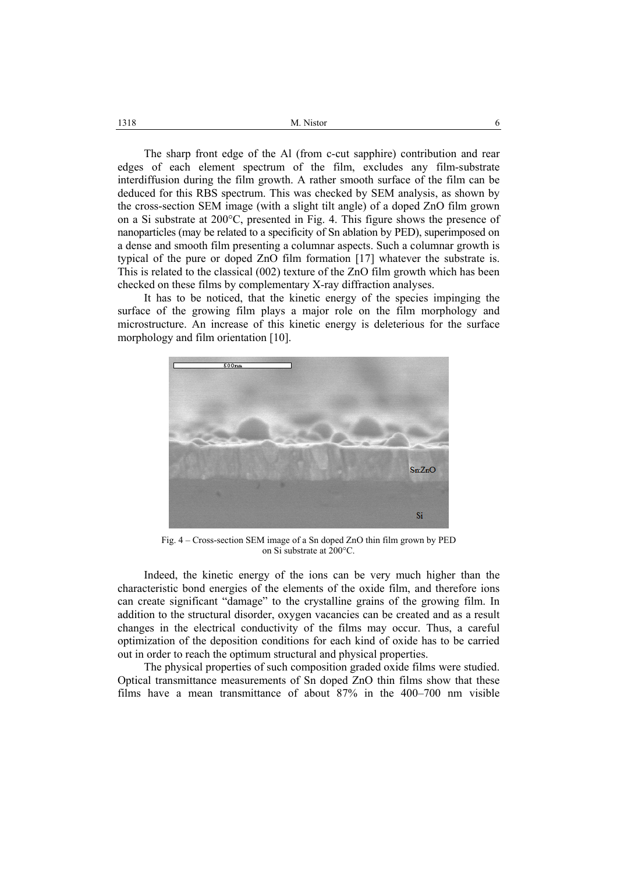| 1318 | M. Nistor |
|------|-----------|
|      |           |

The sharp front edge of the Al (from c-cut sapphire) contribution and rear edges of each element spectrum of the film, excludes any film-substrate interdiffusion during the film growth. A rather smooth surface of the film can be deduced for this RBS spectrum. This was checked by SEM analysis, as shown by the cross-section SEM image (with a slight tilt angle) of a doped ZnO film grown on a Si substrate at 200°C, presented in Fig. 4. This figure shows the presence of nanoparticles (may be related to a specificity of Sn ablation by PED), superimposed on a dense and smooth film presenting a columnar aspects. Such a columnar growth is typical of the pure or doped ZnO film formation [17] whatever the substrate is. This is related to the classical (002) texture of the ZnO film growth which has been checked on these films by complementary X-ray diffraction analyses.

It has to be noticed, that the kinetic energy of the species impinging the surface of the growing film plays a major role on the film morphology and microstructure. An increase of this kinetic energy is deleterious for the surface morphology and film orientation [10].



Fig. 4 – Cross-section SEM image of a Sn doped ZnO thin film grown by PED on Si substrate at 200°C.

Indeed, the kinetic energy of the ions can be very much higher than the characteristic bond energies of the elements of the oxide film, and therefore ions can create significant "damage" to the crystalline grains of the growing film. In addition to the structural disorder, oxygen vacancies can be created and as a result changes in the electrical conductivity of the films may occur. Thus, a careful optimization of the deposition conditions for each kind of oxide has to be carried out in order to reach the optimum structural and physical properties.

The physical properties of such composition graded oxide films were studied. Optical transmittance measurements of Sn doped ZnO thin films show that these films have a mean transmittance of about 87% in the 400–700 nm visible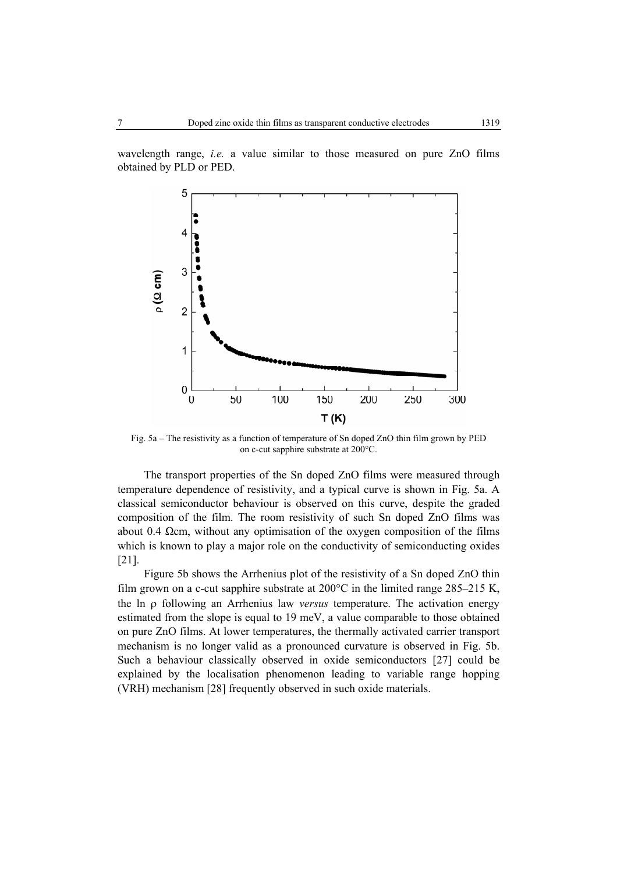wavelength range, *i.e.* a value similar to those measured on pure ZnO films obtained by PLD or PED.



Fig. 5a – The resistivity as a function of temperature of Sn doped ZnO thin film grown by PED on c-cut sapphire substrate at 200°C.

The transport properties of the Sn doped ZnO films were measured through temperature dependence of resistivity, and a typical curve is shown in Fig. 5a. A classical semiconductor behaviour is observed on this curve, despite the graded composition of the film. The room resistivity of such Sn doped ZnO films was about 0.4  $\Omega$ cm, without any optimisation of the oxygen composition of the films which is known to play a major role on the conductivity of semiconducting oxides [21].

Figure 5b shows the Arrhenius plot of the resistivity of a Sn doped ZnO thin film grown on a c-cut sapphire substrate at  $200^{\circ}$ C in the limited range  $285-215$  K, the ln ρ following an Arrhenius law *versus* temperature. The activation energy estimated from the slope is equal to 19 meV, a value comparable to those obtained on pure ZnO films. At lower temperatures, the thermally activated carrier transport mechanism is no longer valid as a pronounced curvature is observed in Fig. 5b. Such a behaviour classically observed in oxide semiconductors [27] could be explained by the localisation phenomenon leading to variable range hopping (VRH) mechanism [28] frequently observed in such oxide materials.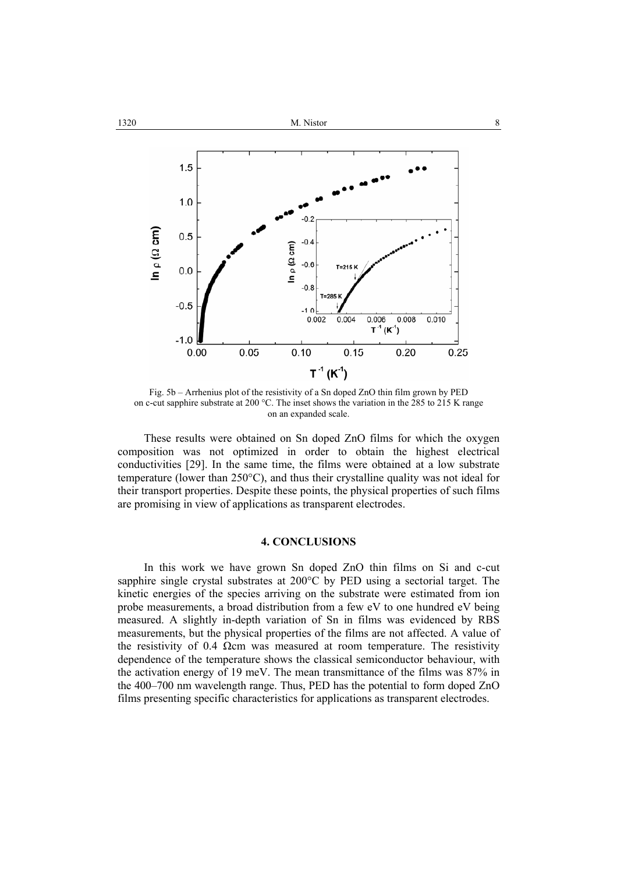

Fig. 5b – Arrhenius plot of the resistivity of a Sn doped ZnO thin film grown by PED on c-cut sapphire substrate at 200 °C. The inset shows the variation in the 285 to 215 K range on an expanded scale.

These results were obtained on Sn doped ZnO films for which the oxygen composition was not optimized in order to obtain the highest electrical conductivities [29]. In the same time, the films were obtained at a low substrate temperature (lower than 250°C), and thus their crystalline quality was not ideal for their transport properties. Despite these points, the physical properties of such films are promising in view of applications as transparent electrodes.

## **4. CONCLUSIONS**

In this work we have grown Sn doped ZnO thin films on Si and c-cut sapphire single crystal substrates at 200°C by PED using a sectorial target. The kinetic energies of the species arriving on the substrate were estimated from ion probe measurements, a broad distribution from a few eV to one hundred eV being measured. A slightly in-depth variation of Sn in films was evidenced by RBS measurements, but the physical properties of the films are not affected. A value of the resistivity of 0.4  $\Omega$ cm was measured at room temperature. The resistivity dependence of the temperature shows the classical semiconductor behaviour, with the activation energy of 19 meV. The mean transmittance of the films was 87% in the 400–700 nm wavelength range. Thus, PED has the potential to form doped ZnO films presenting specific characteristics for applications as transparent electrodes.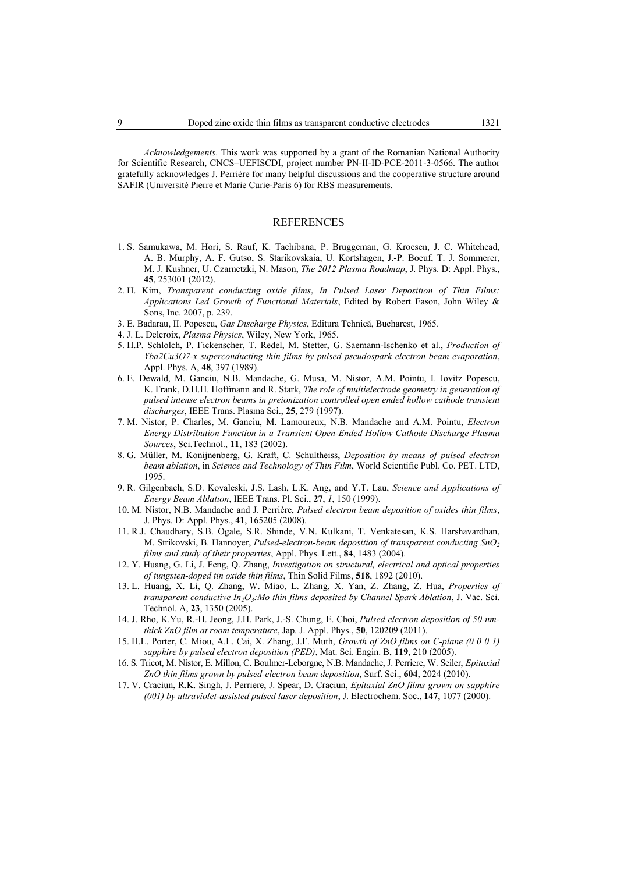*Acknowledgements*. This work was supported by a grant of the Romanian National Authority for Scientific Research, CNCS–UEFISCDI, project number PN-II-ID-PCE-2011-3-0566. The author gratefully acknowledges J. Perrière for many helpful discussions and the cooperative structure around SAFIR (Université Pierre et Marie Curie-Paris 6) for RBS measurements.

### REFERENCES

- 1. S. Samukawa, M. Hori, S. Rauf, K. Tachibana, P. Bruggeman, G. Kroesen, J. C. Whitehead, A. B. Murphy, A. F. Gutso, S. Starikovskaia, U. Kortshagen, J.-P. Boeuf, T. J. Sommerer, M. J. Kushner, U. Czarnetzki, N. Mason, *The 2012 Plasma Roadmap*, J. Phys. D: Appl. Phys., **45**, 253001 (2012).
- 2. H. Kim, *Transparent conducting oxide films*, *In Pulsed Laser Deposition of Thin Films: Applications Led Growth of Functional Materials*, Edited by Robert Eason, John Wiley & Sons, Inc. 2007, p. 239.
- 3. E. Badarau, II. Popescu, *Gas Discharge Physics*, Editura Tehnică, Bucharest, 1965.
- 4. J. L. Delcroix, *Plasma Physics*, Wiley, New York, 1965.
- 5. H.P. Schlolch, P. Fickenscher, T. Redel, M. Stetter, G. Saemann-Ischenko et al., *Production of Yba2Cu3O7-x superconducting thin films by pulsed pseudospark electron beam evaporation*, Appl. Phys. A, **48**, 397 (1989).
- 6. E. Dewald, M. Ganciu, N.B. Mandache, G. Musa, M. Nistor, A.M. Pointu, I. Iovitz Popescu, K. Frank, D.H.H. Hoffmann and R. Stark, *The role of multielectrode geometry in generation of pulsed intense electron beams in preionization controlled open ended hollow cathode transient discharges*, IEEE Trans. Plasma Sci., **25**, 279 (1997).
- 7. M. Nistor, P. Charles, M. Ganciu, M. Lamoureux, N.B. Mandache and A.M. Pointu, *Electron Energy Distribution Function in a Transient Open-Ended Hollow Cathode Discharge Plasma Sources*, Sci.Technol., **11**, 183 (2002).
- 8. G. Müller, M. Konijnenberg, G. Kraft, C. Schultheiss, *Deposition by means of pulsed electron beam ablation*, in *Science and Technology of Thin Film*, World Scientific Publ. Co. PET. LTD, 1995.
- 9. R. Gilgenbach, S.D. Kovaleski, J.S. Lash, L.K. Ang, and Y.T. Lau, *Science and Applications of Energy Beam Ablation*, IEEE Trans. Pl. Sci., **27**, *1*, 150 (1999).
- 10. M. Nistor, N.B. Mandache and J. Perrière, *Pulsed electron beam deposition of oxides thin films*, J. Phys. D: Appl. Phys., **41**, 165205 (2008).
- 11. R.J. Chaudhary, S.B. Ogale, S.R. Shinde, V.N. Kulkani, T. Venkatesan, K.S. Harshavardhan, M. Strikovski, B. Hannoyer, *Pulsed-electron-beam deposition of transparent conducting SnO2 films and study of their properties*, Appl. Phys. Lett., **84**, 1483 (2004).
- 12. Y. Huang, G. Li, J. Feng, Q. Zhang, *Investigation on structural, electrical and optical properties of tungsten-doped tin oxide thin films*, Thin Solid Films, **518**, 1892 (2010).
- 13. L. Huang, X. Li, Q. Zhang, W. Miao, L. Zhang, X. Yan, Z. Zhang, Z. Hua, *Properties of transparent conductive In<sub>2</sub>O<sub>3</sub>:Mo thin films deposited by Channel Spark Ablation*, J. Vac. Sci. Technol. A, **23**, 1350 (2005).
- 14. J. Rho, K.Yu, R.-H. Jeong, J.H. Park, J.-S. Chung, E. Choi, *Pulsed electron deposition of 50-nmthick ZnO film at room temperature*, Jap. J. Appl. Phys., **50**, 120209 (2011).
- 15. H.L. Porter, C. Miou, A.L. Cai, X. Zhang, J.F. Muth, *Growth of ZnO films on C-plane (0 0 0 1) sapphire by pulsed electron deposition (PED)*, Mat. Sci. Engin. B, **119**, 210 (2005).
- 16. S. Tricot, M. Nistor, E. Millon, C. Boulmer-Leborgne, N.B. Mandache, J. Perriere, W. Seiler, *Epitaxial ZnO thin films grown by pulsed-electron beam deposition*, Surf. Sci., **604**, 2024 (2010).
- 17. V. Craciun, R.K. Singh, J. Perriere, J. Spear, D. Craciun, *Epitaxial ZnO films grown on sapphire (001) by ultraviolet-assisted pulsed laser deposition*, J. Electrochem. Soc., **147**, 1077 (2000).